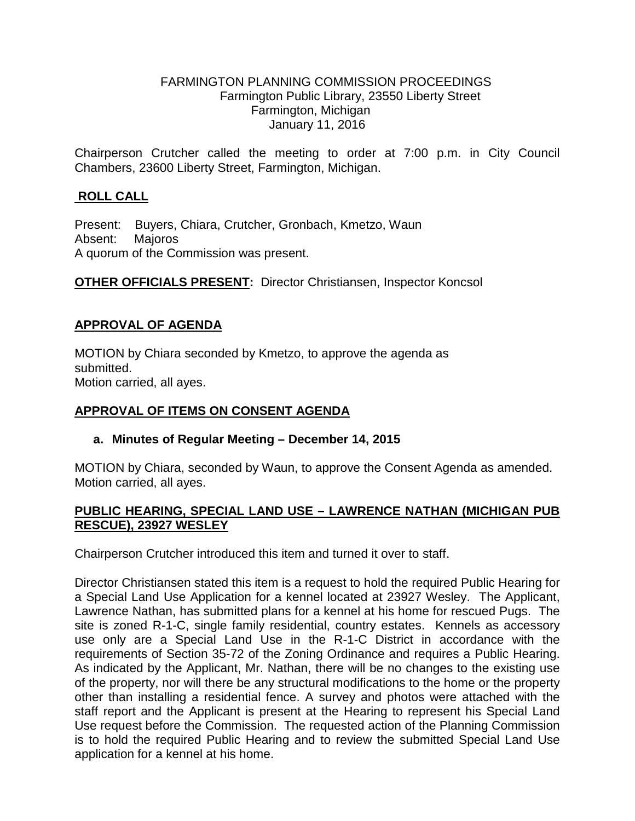#### FARMINGTON PLANNING COMMISSION PROCEEDINGS Farmington Public Library, 23550 Liberty Street Farmington, Michigan January 11, 2016

Chairperson Crutcher called the meeting to order at 7:00 p.m. in City Council Chambers, 23600 Liberty Street, Farmington, Michigan.

# **ROLL CALL**

Present: Buyers, Chiara, Crutcher, Gronbach, Kmetzo, Waun Absent: Majoros A quorum of the Commission was present.

**OTHER OFFICIALS PRESENT:** Director Christiansen, Inspector Koncsol

## **APPROVAL OF AGENDA**

MOTION by Chiara seconded by Kmetzo, to approve the agenda as submitted. Motion carried, all ayes.

## **APPROVAL OF ITEMS ON CONSENT AGENDA**

## **a. Minutes of Regular Meeting – December 14, 2015**

MOTION by Chiara, seconded by Waun, to approve the Consent Agenda as amended. Motion carried, all ayes.

## **PUBLIC HEARING, SPECIAL LAND USE – LAWRENCE NATHAN (MICHIGAN PUB RESCUE), 23927 WESLEY**

Chairperson Crutcher introduced this item and turned it over to staff.

Director Christiansen stated this item is a request to hold the required Public Hearing for a Special Land Use Application for a kennel located at 23927 Wesley. The Applicant, Lawrence Nathan, has submitted plans for a kennel at his home for rescued Pugs. The site is zoned R-1-C, single family residential, country estates. Kennels as accessory use only are a Special Land Use in the R-1-C District in accordance with the requirements of Section 35-72 of the Zoning Ordinance and requires a Public Hearing. As indicated by the Applicant, Mr. Nathan, there will be no changes to the existing use of the property, nor will there be any structural modifications to the home or the property other than installing a residential fence. A survey and photos were attached with the staff report and the Applicant is present at the Hearing to represent his Special Land Use request before the Commission. The requested action of the Planning Commission is to hold the required Public Hearing and to review the submitted Special Land Use application for a kennel at his home.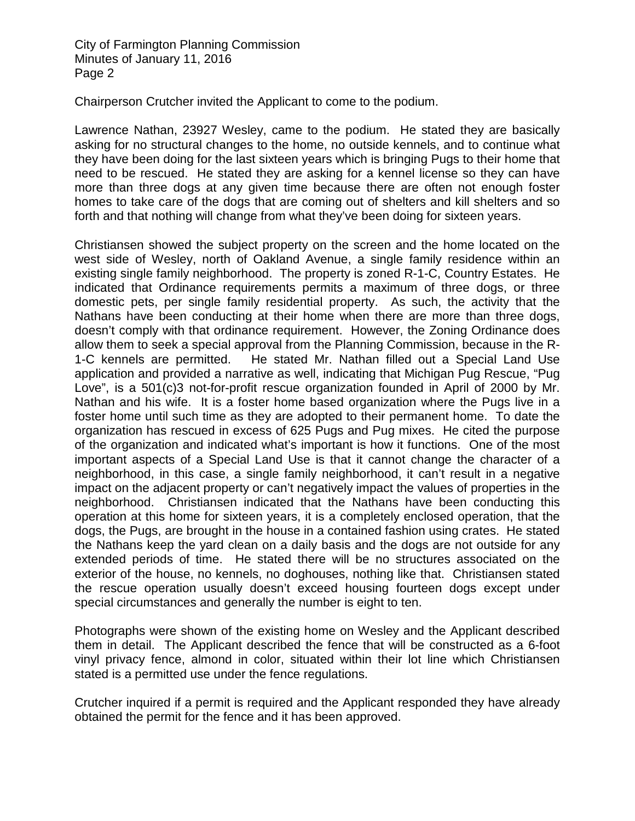Chairperson Crutcher invited the Applicant to come to the podium.

Lawrence Nathan, 23927 Wesley, came to the podium. He stated they are basically asking for no structural changes to the home, no outside kennels, and to continue what they have been doing for the last sixteen years which is bringing Pugs to their home that need to be rescued. He stated they are asking for a kennel license so they can have more than three dogs at any given time because there are often not enough foster homes to take care of the dogs that are coming out of shelters and kill shelters and so forth and that nothing will change from what they've been doing for sixteen years.

Christiansen showed the subject property on the screen and the home located on the west side of Wesley, north of Oakland Avenue, a single family residence within an existing single family neighborhood. The property is zoned R-1-C, Country Estates. He indicated that Ordinance requirements permits a maximum of three dogs, or three domestic pets, per single family residential property. As such, the activity that the Nathans have been conducting at their home when there are more than three dogs, doesn't comply with that ordinance requirement. However, the Zoning Ordinance does allow them to seek a special approval from the Planning Commission, because in the R-1-C kennels are permitted. He stated Mr. Nathan filled out a Special Land Use application and provided a narrative as well, indicating that Michigan Pug Rescue, "Pug Love", is a 501(c)3 not-for-profit rescue organization founded in April of 2000 by Mr. Nathan and his wife. It is a foster home based organization where the Pugs live in a foster home until such time as they are adopted to their permanent home. To date the organization has rescued in excess of 625 Pugs and Pug mixes. He cited the purpose of the organization and indicated what's important is how it functions. One of the most important aspects of a Special Land Use is that it cannot change the character of a neighborhood, in this case, a single family neighborhood, it can't result in a negative impact on the adjacent property or can't negatively impact the values of properties in the neighborhood. Christiansen indicated that the Nathans have been conducting this operation at this home for sixteen years, it is a completely enclosed operation, that the dogs, the Pugs, are brought in the house in a contained fashion using crates. He stated the Nathans keep the yard clean on a daily basis and the dogs are not outside for any extended periods of time. He stated there will be no structures associated on the exterior of the house, no kennels, no doghouses, nothing like that. Christiansen stated the rescue operation usually doesn't exceed housing fourteen dogs except under special circumstances and generally the number is eight to ten.

Photographs were shown of the existing home on Wesley and the Applicant described them in detail. The Applicant described the fence that will be constructed as a 6-foot vinyl privacy fence, almond in color, situated within their lot line which Christiansen stated is a permitted use under the fence regulations.

Crutcher inquired if a permit is required and the Applicant responded they have already obtained the permit for the fence and it has been approved.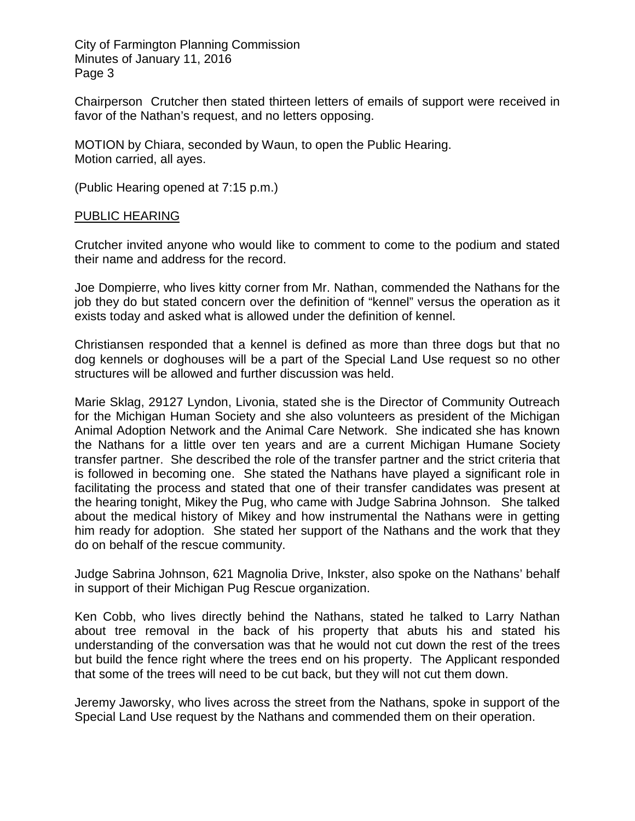Chairperson Crutcher then stated thirteen letters of emails of support were received in favor of the Nathan's request, and no letters opposing.

MOTION by Chiara, seconded by Waun, to open the Public Hearing. Motion carried, all ayes.

(Public Hearing opened at 7:15 p.m.)

#### PUBLIC HEARING

Crutcher invited anyone who would like to comment to come to the podium and stated their name and address for the record.

Joe Dompierre, who lives kitty corner from Mr. Nathan, commended the Nathans for the job they do but stated concern over the definition of "kennel" versus the operation as it exists today and asked what is allowed under the definition of kennel.

Christiansen responded that a kennel is defined as more than three dogs but that no dog kennels or doghouses will be a part of the Special Land Use request so no other structures will be allowed and further discussion was held.

Marie Sklag, 29127 Lyndon, Livonia, stated she is the Director of Community Outreach for the Michigan Human Society and she also volunteers as president of the Michigan Animal Adoption Network and the Animal Care Network. She indicated she has known the Nathans for a little over ten years and are a current Michigan Humane Society transfer partner. She described the role of the transfer partner and the strict criteria that is followed in becoming one. She stated the Nathans have played a significant role in facilitating the process and stated that one of their transfer candidates was present at the hearing tonight, Mikey the Pug, who came with Judge Sabrina Johnson. She talked about the medical history of Mikey and how instrumental the Nathans were in getting him ready for adoption. She stated her support of the Nathans and the work that they do on behalf of the rescue community.

Judge Sabrina Johnson, 621 Magnolia Drive, Inkster, also spoke on the Nathans' behalf in support of their Michigan Pug Rescue organization.

Ken Cobb, who lives directly behind the Nathans, stated he talked to Larry Nathan about tree removal in the back of his property that abuts his and stated his understanding of the conversation was that he would not cut down the rest of the trees but build the fence right where the trees end on his property. The Applicant responded that some of the trees will need to be cut back, but they will not cut them down.

Jeremy Jaworsky, who lives across the street from the Nathans, spoke in support of the Special Land Use request by the Nathans and commended them on their operation.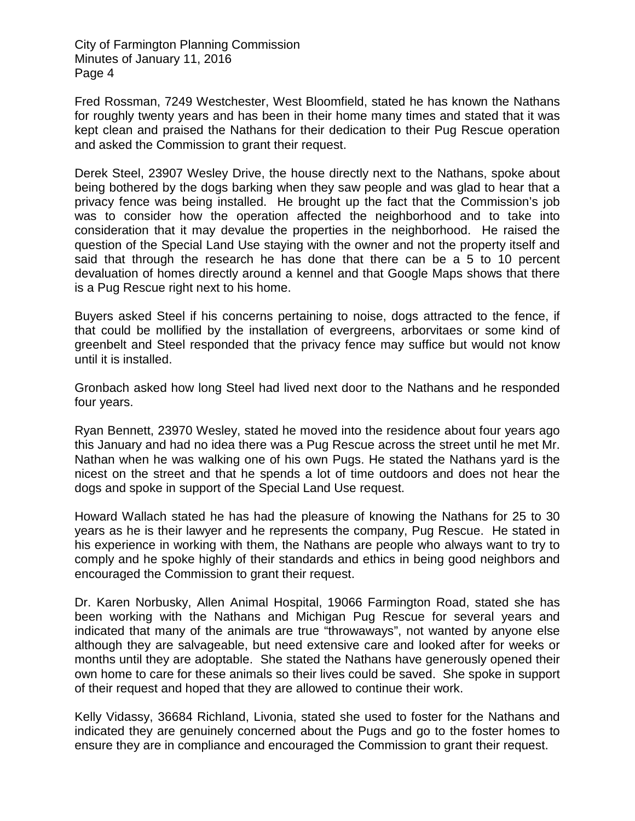Fred Rossman, 7249 Westchester, West Bloomfield, stated he has known the Nathans for roughly twenty years and has been in their home many times and stated that it was kept clean and praised the Nathans for their dedication to their Pug Rescue operation and asked the Commission to grant their request.

Derek Steel, 23907 Wesley Drive, the house directly next to the Nathans, spoke about being bothered by the dogs barking when they saw people and was glad to hear that a privacy fence was being installed. He brought up the fact that the Commission's job was to consider how the operation affected the neighborhood and to take into consideration that it may devalue the properties in the neighborhood. He raised the question of the Special Land Use staying with the owner and not the property itself and said that through the research he has done that there can be a 5 to 10 percent devaluation of homes directly around a kennel and that Google Maps shows that there is a Pug Rescue right next to his home.

Buyers asked Steel if his concerns pertaining to noise, dogs attracted to the fence, if that could be mollified by the installation of evergreens, arborvitaes or some kind of greenbelt and Steel responded that the privacy fence may suffice but would not know until it is installed.

Gronbach asked how long Steel had lived next door to the Nathans and he responded four years.

Ryan Bennett, 23970 Wesley, stated he moved into the residence about four years ago this January and had no idea there was a Pug Rescue across the street until he met Mr. Nathan when he was walking one of his own Pugs. He stated the Nathans yard is the nicest on the street and that he spends a lot of time outdoors and does not hear the dogs and spoke in support of the Special Land Use request.

Howard Wallach stated he has had the pleasure of knowing the Nathans for 25 to 30 years as he is their lawyer and he represents the company, Pug Rescue. He stated in his experience in working with them, the Nathans are people who always want to try to comply and he spoke highly of their standards and ethics in being good neighbors and encouraged the Commission to grant their request.

Dr. Karen Norbusky, Allen Animal Hospital, 19066 Farmington Road, stated she has been working with the Nathans and Michigan Pug Rescue for several years and indicated that many of the animals are true "throwaways", not wanted by anyone else although they are salvageable, but need extensive care and looked after for weeks or months until they are adoptable. She stated the Nathans have generously opened their own home to care for these animals so their lives could be saved. She spoke in support of their request and hoped that they are allowed to continue their work.

Kelly Vidassy, 36684 Richland, Livonia, stated she used to foster for the Nathans and indicated they are genuinely concerned about the Pugs and go to the foster homes to ensure they are in compliance and encouraged the Commission to grant their request.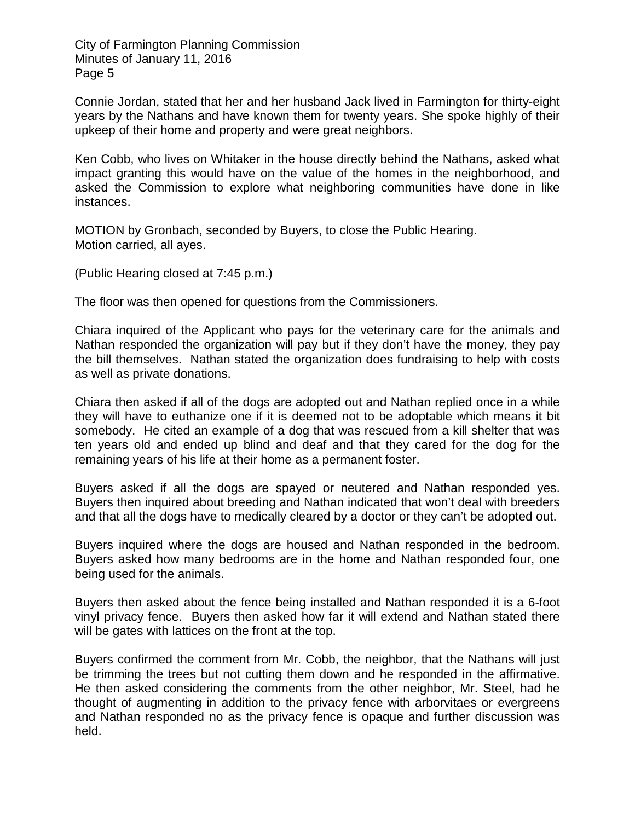Connie Jordan, stated that her and her husband Jack lived in Farmington for thirty-eight years by the Nathans and have known them for twenty years. She spoke highly of their upkeep of their home and property and were great neighbors.

Ken Cobb, who lives on Whitaker in the house directly behind the Nathans, asked what impact granting this would have on the value of the homes in the neighborhood, and asked the Commission to explore what neighboring communities have done in like instances.

MOTION by Gronbach, seconded by Buyers, to close the Public Hearing. Motion carried, all ayes.

(Public Hearing closed at 7:45 p.m.)

The floor was then opened for questions from the Commissioners.

Chiara inquired of the Applicant who pays for the veterinary care for the animals and Nathan responded the organization will pay but if they don't have the money, they pay the bill themselves. Nathan stated the organization does fundraising to help with costs as well as private donations.

Chiara then asked if all of the dogs are adopted out and Nathan replied once in a while they will have to euthanize one if it is deemed not to be adoptable which means it bit somebody. He cited an example of a dog that was rescued from a kill shelter that was ten years old and ended up blind and deaf and that they cared for the dog for the remaining years of his life at their home as a permanent foster.

Buyers asked if all the dogs are spayed or neutered and Nathan responded yes. Buyers then inquired about breeding and Nathan indicated that won't deal with breeders and that all the dogs have to medically cleared by a doctor or they can't be adopted out.

Buyers inquired where the dogs are housed and Nathan responded in the bedroom. Buyers asked how many bedrooms are in the home and Nathan responded four, one being used for the animals.

Buyers then asked about the fence being installed and Nathan responded it is a 6-foot vinyl privacy fence. Buyers then asked how far it will extend and Nathan stated there will be gates with lattices on the front at the top.

Buyers confirmed the comment from Mr. Cobb, the neighbor, that the Nathans will just be trimming the trees but not cutting them down and he responded in the affirmative. He then asked considering the comments from the other neighbor, Mr. Steel, had he thought of augmenting in addition to the privacy fence with arborvitaes or evergreens and Nathan responded no as the privacy fence is opaque and further discussion was held.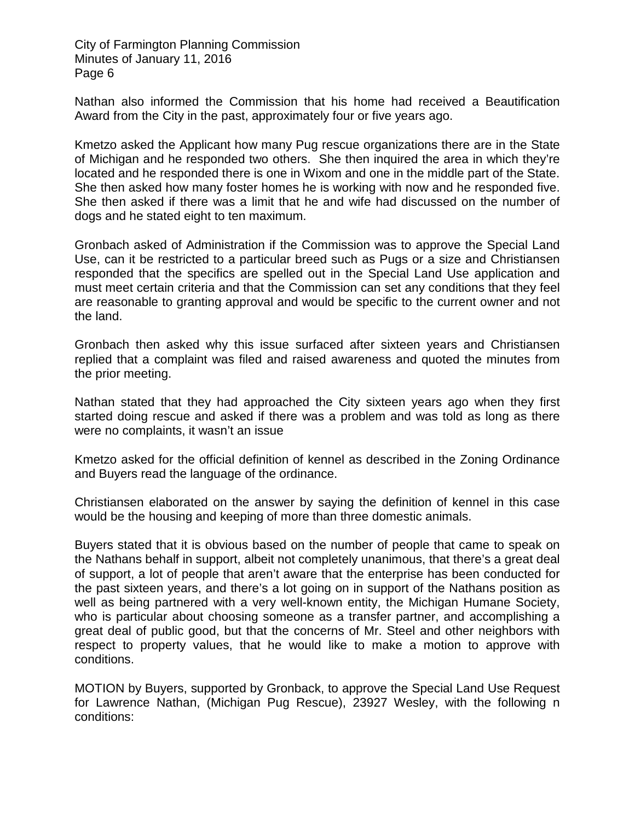Nathan also informed the Commission that his home had received a Beautification Award from the City in the past, approximately four or five years ago.

Kmetzo asked the Applicant how many Pug rescue organizations there are in the State of Michigan and he responded two others. She then inquired the area in which they're located and he responded there is one in Wixom and one in the middle part of the State. She then asked how many foster homes he is working with now and he responded five. She then asked if there was a limit that he and wife had discussed on the number of dogs and he stated eight to ten maximum.

Gronbach asked of Administration if the Commission was to approve the Special Land Use, can it be restricted to a particular breed such as Pugs or a size and Christiansen responded that the specifics are spelled out in the Special Land Use application and must meet certain criteria and that the Commission can set any conditions that they feel are reasonable to granting approval and would be specific to the current owner and not the land.

Gronbach then asked why this issue surfaced after sixteen years and Christiansen replied that a complaint was filed and raised awareness and quoted the minutes from the prior meeting.

Nathan stated that they had approached the City sixteen years ago when they first started doing rescue and asked if there was a problem and was told as long as there were no complaints, it wasn't an issue

Kmetzo asked for the official definition of kennel as described in the Zoning Ordinance and Buyers read the language of the ordinance.

Christiansen elaborated on the answer by saying the definition of kennel in this case would be the housing and keeping of more than three domestic animals.

Buyers stated that it is obvious based on the number of people that came to speak on the Nathans behalf in support, albeit not completely unanimous, that there's a great deal of support, a lot of people that aren't aware that the enterprise has been conducted for the past sixteen years, and there's a lot going on in support of the Nathans position as well as being partnered with a very well-known entity, the Michigan Humane Society, who is particular about choosing someone as a transfer partner, and accomplishing a great deal of public good, but that the concerns of Mr. Steel and other neighbors with respect to property values, that he would like to make a motion to approve with conditions.

MOTION by Buyers, supported by Gronback, to approve the Special Land Use Request for Lawrence Nathan, (Michigan Pug Rescue), 23927 Wesley, with the following n conditions: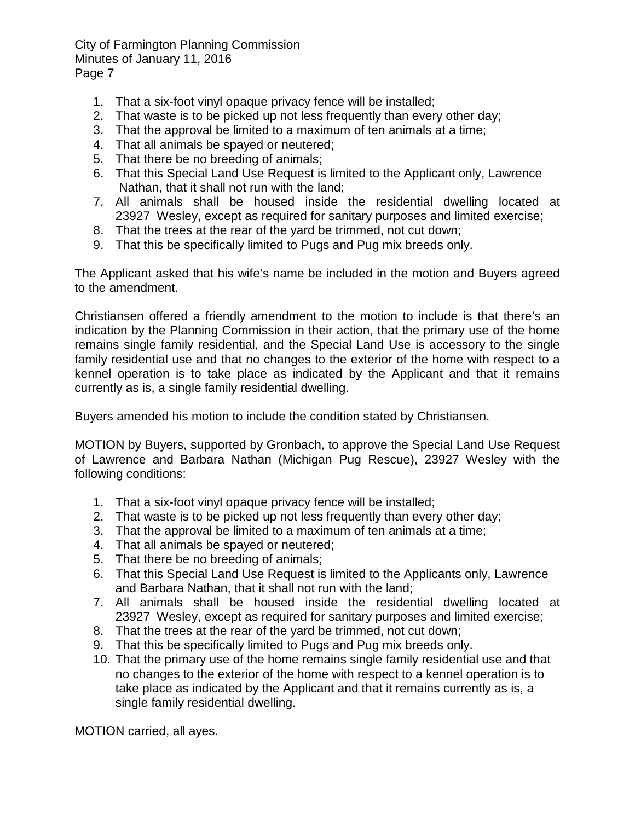- 1. That a six-foot vinyl opaque privacy fence will be installed;
- 2. That waste is to be picked up not less frequently than every other day;
- 3. That the approval be limited to a maximum of ten animals at a time;
- 4. That all animals be spayed or neutered;
- 5. That there be no breeding of animals;
- 6. That this Special Land Use Request is limited to the Applicant only, Lawrence Nathan, that it shall not run with the land;
- 7. All animals shall be housed inside the residential dwelling located at 23927 Wesley, except as required for sanitary purposes and limited exercise;
- 8. That the trees at the rear of the yard be trimmed, not cut down;
- 9. That this be specifically limited to Pugs and Pug mix breeds only.

The Applicant asked that his wife's name be included in the motion and Buyers agreed to the amendment.

Christiansen offered a friendly amendment to the motion to include is that there's an indication by the Planning Commission in their action, that the primary use of the home remains single family residential, and the Special Land Use is accessory to the single family residential use and that no changes to the exterior of the home with respect to a kennel operation is to take place as indicated by the Applicant and that it remains currently as is, a single family residential dwelling.

Buyers amended his motion to include the condition stated by Christiansen.

MOTION by Buyers, supported by Gronbach, to approve the Special Land Use Request of Lawrence and Barbara Nathan (Michigan Pug Rescue), 23927 Wesley with the following conditions:

- 1. That a six-foot vinyl opaque privacy fence will be installed;
- 2. That waste is to be picked up not less frequently than every other day;
- 3. That the approval be limited to a maximum of ten animals at a time;
- 4. That all animals be spayed or neutered;
- 5. That there be no breeding of animals;
- 6. That this Special Land Use Request is limited to the Applicants only, Lawrence and Barbara Nathan, that it shall not run with the land;
- 7. All animals shall be housed inside the residential dwelling located at 23927 Wesley, except as required for sanitary purposes and limited exercise;
- 8. That the trees at the rear of the yard be trimmed, not cut down;
- 9. That this be specifically limited to Pugs and Pug mix breeds only.
- 10. That the primary use of the home remains single family residential use and that no changes to the exterior of the home with respect to a kennel operation is to take place as indicated by the Applicant and that it remains currently as is, a single family residential dwelling.

MOTION carried, all ayes.